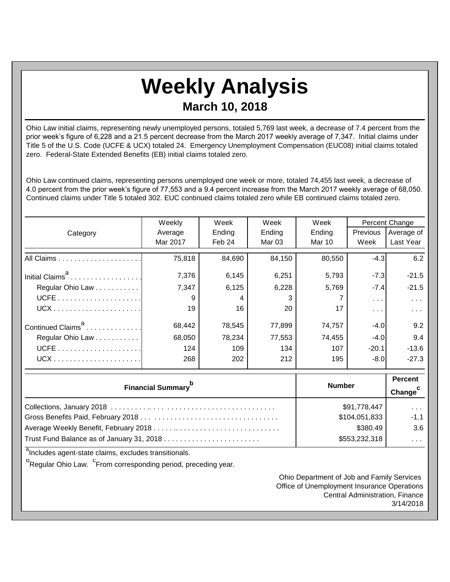## **Weekly Analysis March 10, 2018**

Ohio Law initial claims, representing newly unemployed persons, totaled 5,769 last week, a decrease of 7.4 percent from the prior week's figure of 6,228 and a 21.5 percent decrease from the March 2017 weekly average of 7,347. Initial claims under Title 5 of the U.S. Code (UCFE & UCX) totaled 24. Emergency Unemployment Compensation (EUC08) initial claims totaled zero. Federal-State Extended Benefits (EB) initial claims totaled zero.

Ohio Law continued claims, representing persons unemployed one week or more, totaled 74,455 last week, a decrease of 4.0 percent from the prior week's figure of 77,553 and a 9.4 percent increase from the March 2017 weekly average of 68,050. Continued claims under Title 5 totaled 302. EUC continued claims totaled zero while EB continued claims totaled zero.

|                               | Weekly        | Week<br>Week |                             | Week   | Percent Change          |                         |
|-------------------------------|---------------|--------------|-----------------------------|--------|-------------------------|-------------------------|
| Category                      | Average       | Ending       | Ending                      | Ending | <b>Previous</b>         | Average of              |
|                               | Mar 2017      | Feb 24       | <b>Mar 03</b>               | Mar 10 | Week                    | Last Year               |
|                               | 75,818        | 84,690       | 84,150                      | 80,550 | $-4.3$                  | 6.2                     |
| Initial Claims <sup>a</sup>   | 7,376         | 6,145        | 6,251                       | 5,793  | $-7.3$                  | $-21.5$                 |
| Regular Ohio Law              | 7,347         | 6,125        | 6,228                       | 5,769  | $-7.4$                  | $-21.5$                 |
|                               | 9             | 4            | 3                           |        |                         | .                       |
|                               | 19            | 16           | 20                          | 17     | $\sim 100$ km s $^{-1}$ | $\sim 100$ km s $^{-1}$ |
| Continued Claims <sup>a</sup> | 68,442        | 78,545       | 77,899                      | 74,757 | $-4.0$                  | 9.2                     |
| Regular Ohio Law              | 68,050        | 78,234       | 77,553                      | 74,455 | $-4.0$                  | 9.4                     |
|                               | 124           | 109          | 134                         | 107    | $-20.1$                 | $-13.6$                 |
|                               | 268           | 202          | 212                         | 195    | $-8.0$                  | $-27.3$                 |
| <b>Financial Summary</b>      | <b>Number</b> |              | <b>Percent</b><br>$Chana^C$ |        |                         |                         |

| <b>Financial Summary</b> | <b>Number</b> | <b>Change</b>               |  |
|--------------------------|---------------|-----------------------------|--|
|                          | \$91,778,447  | $\sim$ $\sim$ $\sim$        |  |
|                          | \$104,051,833 | $-1.1$                      |  |
|                          | \$380.49      | 3.6                         |  |
|                          | \$553,232,318 | $\sim$ $\sim$ $\sim$ $\sim$ |  |

<sup>a</sup>Includes agent-state claims, excludes transitionals.

<sup>b</sup>Regular Ohio Law. <sup>C</sup>From corresponding period, preceding year.

Ohio Department of Job and Family Services Office of Unemployment Insurance Operations Central Administration, Finance 3/14/2018